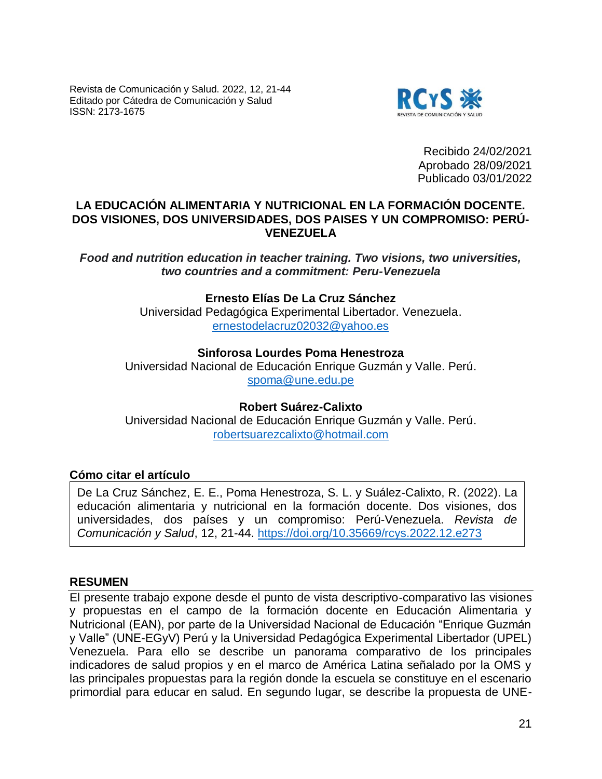Revista de Comunicación y Salud. 2022, 12, 21-44 Editado por Cátedra de Comunicación y Salud ISSN: 2173-1675



Recibido 24/02/2021 Aprobado 28/09/2021 Publicado 03/01/2022

## **LA EDUCACIÓN ALIMENTARIA Y NUTRICIONAL EN LA FORMACIÓN DOCENTE. DOS VISIONES, DOS UNIVERSIDADES, DOS PAISES Y UN COMPROMISO: PERÚ-VENEZUELA**

*Food and nutrition education in teacher training. Two visions, two universities, two countries and a commitment: Peru-Venezuela*

# **Ernesto Elías De La Cruz Sánchez**

Universidad Pedagógica Experimental Libertador. Venezuela. [ernestodelacruz02032@yahoo.es](mailto:ernestodelacruz02032@yahoo.es)

## **Sinforosa Lourdes Poma Henestroza**

Universidad Nacional de Educación Enrique Guzmán y Valle. Perú. [spoma@une.edu.pe](mailto:spoma@une.edu.pe)

**Robert Suárez-Calixto** Universidad Nacional de Educación Enrique Guzmán y Valle. Perú. [robertsuarezcalixto@hotmail.com](mailto:robertsuarezcalixto@hotmail.com)

#### **Cómo citar el artículo**

De La Cruz Sánchez, E. E., Poma Henestroza, S. L. y Suález-Calixto, R. (2022). La educación alimentaria y nutricional en la formación docente. Dos visiones, dos universidades, dos países y un compromiso: Perú-Venezuela. *Revista de Comunicación y Salud*, 12, 21-44. <https://doi.org/10.35669/rcys.2022.12.e273>

#### **RESUMEN**

El presente trabajo expone desde el punto de vista descriptivo-comparativo las visiones y propuestas en el campo de la formación docente en Educación Alimentaria y Nutricional (EAN), por parte de la Universidad Nacional de Educación "Enrique Guzmán y Valle" (UNE-EGyV) Perú y la Universidad Pedagógica Experimental Libertador (UPEL) Venezuela. Para ello se describe un panorama comparativo de los principales indicadores de salud propios y en el marco de América Latina señalado por la OMS y las principales propuestas para la región donde la escuela se constituye en el escenario primordial para educar en salud. En segundo lugar, se describe la propuesta de UNE-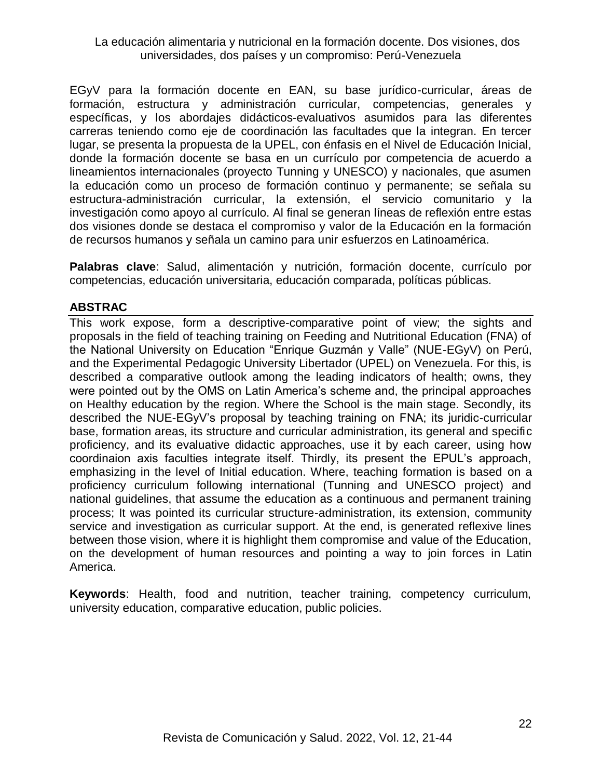EGyV para la formación docente en EAN, su base jurídico-curricular, áreas de formación, estructura y administración curricular, competencias, generales y específicas, y los abordajes didácticos-evaluativos asumidos para las diferentes carreras teniendo como eje de coordinación las facultades que la integran. En tercer lugar, se presenta la propuesta de la UPEL, con énfasis en el Nivel de Educación Inicial, donde la formación docente se basa en un currículo por competencia de acuerdo a lineamientos internacionales (proyecto Tunning y UNESCO) y nacionales, que asumen la educación como un proceso de formación continuo y permanente; se señala su estructura-administración curricular, la extensión, el servicio comunitario y la investigación como apoyo al currículo. Al final se generan líneas de reflexión entre estas dos visiones donde se destaca el compromiso y valor de la Educación en la formación de recursos humanos y señala un camino para unir esfuerzos en Latinoamérica.

**Palabras clave**: Salud, alimentación y nutrición, formación docente, currículo por competencias, educación universitaria, educación comparada, políticas públicas.

## **ABSTRAC**

This work expose, form a descriptive-comparative point of view; the sights and proposals in the field of teaching training on Feeding and Nutritional Education (FNA) of the National University on Education "Enrique Guzmán y Valle" (NUE-EGyV) on Perú, and the Experimental Pedagogic University Libertador (UPEL) on Venezuela. For this, is described a comparative outlook among the leading indicators of health; owns, they were pointed out by the OMS on Latin America's scheme and, the principal approaches on Healthy education by the region. Where the School is the main stage. Secondly, its described the NUE-EGyV's proposal by teaching training on FNA; its juridic-curricular base, formation areas, its structure and curricular administration, its general and specific proficiency, and its evaluative didactic approaches, use it by each career, using how coordinaion axis faculties integrate itself. Thirdly, its present the EPUL's approach, emphasizing in the level of Initial education. Where, teaching formation is based on a proficiency curriculum following international (Tunning and UNESCO project) and national guidelines, that assume the education as a continuous and permanent training process; It was pointed its curricular structure-administration, its extension, community service and investigation as curricular support. At the end, is generated reflexive lines between those vision, where it is highlight them compromise and value of the Education, on the development of human resources and pointing a way to join forces in Latin America.

**Keywords**: Health, food and nutrition, teacher training, competency curriculum, university education, comparative education, public policies.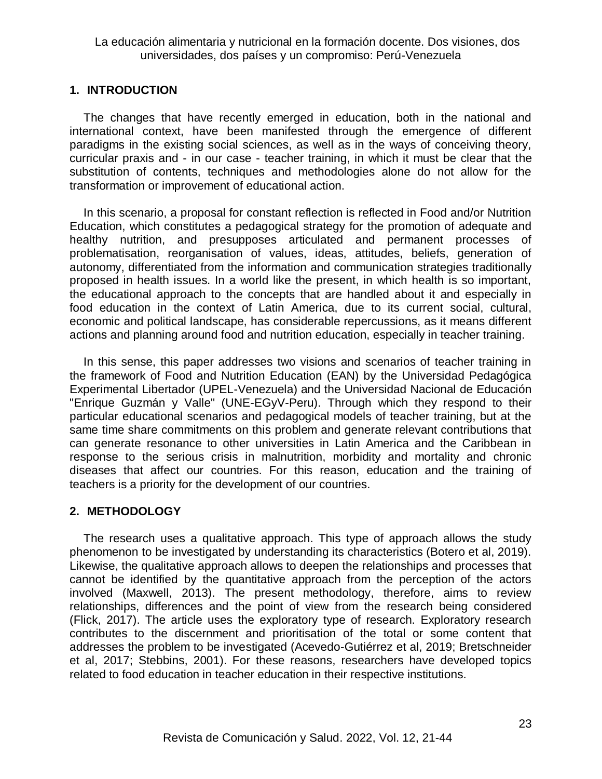## **1. INTRODUCTION**

The changes that have recently emerged in education, both in the national and international context, have been manifested through the emergence of different paradigms in the existing social sciences, as well as in the ways of conceiving theory, curricular praxis and - in our case - teacher training, in which it must be clear that the substitution of contents, techniques and methodologies alone do not allow for the transformation or improvement of educational action.

In this scenario, a proposal for constant reflection is reflected in Food and/or Nutrition Education, which constitutes a pedagogical strategy for the promotion of adequate and healthy nutrition, and presupposes articulated and permanent processes of problematisation, reorganisation of values, ideas, attitudes, beliefs, generation of autonomy, differentiated from the information and communication strategies traditionally proposed in health issues. In a world like the present, in which health is so important, the educational approach to the concepts that are handled about it and especially in food education in the context of Latin America, due to its current social, cultural, economic and political landscape, has considerable repercussions, as it means different actions and planning around food and nutrition education, especially in teacher training.

In this sense, this paper addresses two visions and scenarios of teacher training in the framework of Food and Nutrition Education (EAN) by the Universidad Pedagógica Experimental Libertador (UPEL-Venezuela) and the Universidad Nacional de Educación "Enrique Guzmán y Valle" (UNE-EGyV-Peru). Through which they respond to their particular educational scenarios and pedagogical models of teacher training, but at the same time share commitments on this problem and generate relevant contributions that can generate resonance to other universities in Latin America and the Caribbean in response to the serious crisis in malnutrition, morbidity and mortality and chronic diseases that affect our countries. For this reason, education and the training of teachers is a priority for the development of our countries.

# **2. METHODOLOGY**

The research uses a qualitative approach. This type of approach allows the study phenomenon to be investigated by understanding its characteristics (Botero et al, 2019). Likewise, the qualitative approach allows to deepen the relationships and processes that cannot be identified by the quantitative approach from the perception of the actors involved (Maxwell, 2013). The present methodology, therefore, aims to review relationships, differences and the point of view from the research being considered (Flick, 2017). The article uses the exploratory type of research. Exploratory research contributes to the discernment and prioritisation of the total or some content that addresses the problem to be investigated (Acevedo-Gutiérrez et al, 2019; Bretschneider et al, 2017; Stebbins, 2001). For these reasons, researchers have developed topics related to food education in teacher education in their respective institutions.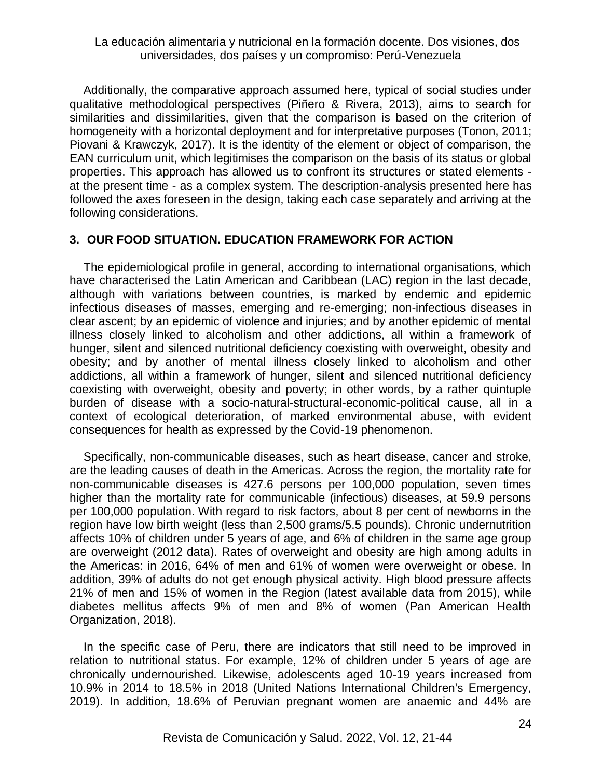Additionally, the comparative approach assumed here, typical of social studies under qualitative methodological perspectives (Piñero & Rivera, 2013), aims to search for similarities and dissimilarities, given that the comparison is based on the criterion of homogeneity with a horizontal deployment and for interpretative purposes (Tonon, 2011; Piovani & Krawczyk, 2017). It is the identity of the element or object of comparison, the EAN curriculum unit, which legitimises the comparison on the basis of its status or global properties. This approach has allowed us to confront its structures or stated elements at the present time - as a complex system. The description-analysis presented here has followed the axes foreseen in the design, taking each case separately and arriving at the following considerations.

## **3. OUR FOOD SITUATION. EDUCATION FRAMEWORK FOR ACTION**

The epidemiological profile in general, according to international organisations, which have characterised the Latin American and Caribbean (LAC) region in the last decade, although with variations between countries, is marked by endemic and epidemic infectious diseases of masses, emerging and re-emerging; non-infectious diseases in clear ascent; by an epidemic of violence and injuries; and by another epidemic of mental illness closely linked to alcoholism and other addictions, all within a framework of hunger, silent and silenced nutritional deficiency coexisting with overweight, obesity and obesity; and by another of mental illness closely linked to alcoholism and other addictions, all within a framework of hunger, silent and silenced nutritional deficiency coexisting with overweight, obesity and poverty; in other words, by a rather quintuple burden of disease with a socio-natural-structural-economic-political cause, all in a context of ecological deterioration, of marked environmental abuse, with evident consequences for health as expressed by the Covid-19 phenomenon.

Specifically, non-communicable diseases, such as heart disease, cancer and stroke, are the leading causes of death in the Americas. Across the region, the mortality rate for non-communicable diseases is 427.6 persons per 100,000 population, seven times higher than the mortality rate for communicable (infectious) diseases, at 59.9 persons per 100,000 population. With regard to risk factors, about 8 per cent of newborns in the region have low birth weight (less than 2,500 grams/5.5 pounds). Chronic undernutrition affects 10% of children under 5 years of age, and 6% of children in the same age group are overweight (2012 data). Rates of overweight and obesity are high among adults in the Americas: in 2016, 64% of men and 61% of women were overweight or obese. In addition, 39% of adults do not get enough physical activity. High blood pressure affects 21% of men and 15% of women in the Region (latest available data from 2015), while diabetes mellitus affects 9% of men and 8% of women (Pan American Health Organization, 2018).

In the specific case of Peru, there are indicators that still need to be improved in relation to nutritional status. For example, 12% of children under 5 years of age are chronically undernourished. Likewise, adolescents aged 10-19 years increased from 10.9% in 2014 to 18.5% in 2018 (United Nations International Children's Emergency, 2019). In addition, 18.6% of Peruvian pregnant women are anaemic and 44% are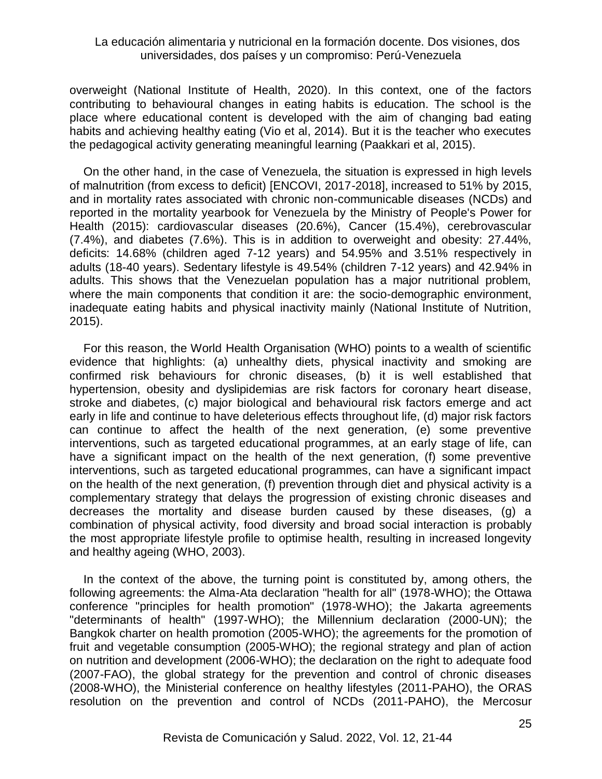overweight (National Institute of Health, 2020). In this context, one of the factors contributing to behavioural changes in eating habits is education. The school is the place where educational content is developed with the aim of changing bad eating habits and achieving healthy eating (Vio et al, 2014). But it is the teacher who executes the pedagogical activity generating meaningful learning (Paakkari et al, 2015).

On the other hand, in the case of Venezuela, the situation is expressed in high levels of malnutrition (from excess to deficit) [ENCOVI, 2017-2018], increased to 51% by 2015, and in mortality rates associated with chronic non-communicable diseases (NCDs) and reported in the mortality yearbook for Venezuela by the Ministry of People's Power for Health (2015): cardiovascular diseases (20.6%), Cancer (15.4%), cerebrovascular (7.4%), and diabetes (7.6%). This is in addition to overweight and obesity: 27.44%, deficits: 14.68% (children aged 7-12 years) and 54.95% and 3.51% respectively in adults (18-40 years). Sedentary lifestyle is 49.54% (children 7-12 years) and 42.94% in adults. This shows that the Venezuelan population has a major nutritional problem, where the main components that condition it are: the socio-demographic environment, inadequate eating habits and physical inactivity mainly (National Institute of Nutrition, 2015).

For this reason, the World Health Organisation (WHO) points to a wealth of scientific evidence that highlights: (a) unhealthy diets, physical inactivity and smoking are confirmed risk behaviours for chronic diseases, (b) it is well established that hypertension, obesity and dyslipidemias are risk factors for coronary heart disease, stroke and diabetes, (c) major biological and behavioural risk factors emerge and act early in life and continue to have deleterious effects throughout life, (d) major risk factors can continue to affect the health of the next generation, (e) some preventive interventions, such as targeted educational programmes, at an early stage of life, can have a significant impact on the health of the next generation, (f) some preventive interventions, such as targeted educational programmes, can have a significant impact on the health of the next generation, (f) prevention through diet and physical activity is a complementary strategy that delays the progression of existing chronic diseases and decreases the mortality and disease burden caused by these diseases, (g) a combination of physical activity, food diversity and broad social interaction is probably the most appropriate lifestyle profile to optimise health, resulting in increased longevity and healthy ageing (WHO, 2003).

In the context of the above, the turning point is constituted by, among others, the following agreements: the Alma-Ata declaration "health for all" (1978-WHO); the Ottawa conference "principles for health promotion" (1978-WHO); the Jakarta agreements "determinants of health" (1997-WHO); the Millennium declaration (2000-UN); the Bangkok charter on health promotion (2005-WHO); the agreements for the promotion of fruit and vegetable consumption (2005-WHO); the regional strategy and plan of action on nutrition and development (2006-WHO); the declaration on the right to adequate food (2007-FAO), the global strategy for the prevention and control of chronic diseases (2008-WHO), the Ministerial conference on healthy lifestyles (2011-PAHO), the ORAS resolution on the prevention and control of NCDs (2011-PAHO), the Mercosur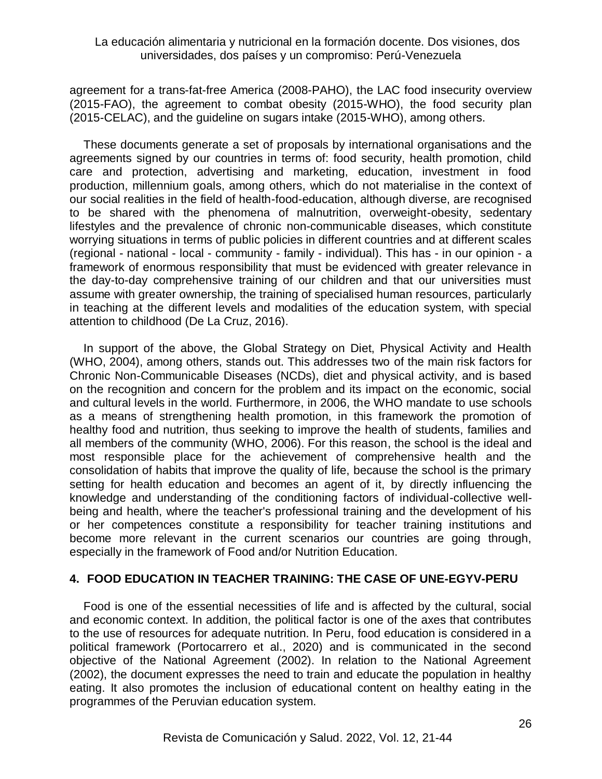agreement for a trans-fat-free America (2008-PAHO), the LAC food insecurity overview (2015-FAO), the agreement to combat obesity (2015-WHO), the food security plan (2015-CELAC), and the guideline on sugars intake (2015-WHO), among others.

These documents generate a set of proposals by international organisations and the agreements signed by our countries in terms of: food security, health promotion, child care and protection, advertising and marketing, education, investment in food production, millennium goals, among others, which do not materialise in the context of our social realities in the field of health-food-education, although diverse, are recognised to be shared with the phenomena of malnutrition, overweight-obesity, sedentary lifestyles and the prevalence of chronic non-communicable diseases, which constitute worrying situations in terms of public policies in different countries and at different scales (regional - national - local - community - family - individual). This has - in our opinion - a framework of enormous responsibility that must be evidenced with greater relevance in the day-to-day comprehensive training of our children and that our universities must assume with greater ownership, the training of specialised human resources, particularly in teaching at the different levels and modalities of the education system, with special attention to childhood (De La Cruz, 2016).

In support of the above, the Global Strategy on Diet, Physical Activity and Health (WHO, 2004), among others, stands out. This addresses two of the main risk factors for Chronic Non-Communicable Diseases (NCDs), diet and physical activity, and is based on the recognition and concern for the problem and its impact on the economic, social and cultural levels in the world. Furthermore, in 2006, the WHO mandate to use schools as a means of strengthening health promotion, in this framework the promotion of healthy food and nutrition, thus seeking to improve the health of students, families and all members of the community (WHO, 2006). For this reason, the school is the ideal and most responsible place for the achievement of comprehensive health and the consolidation of habits that improve the quality of life, because the school is the primary setting for health education and becomes an agent of it, by directly influencing the knowledge and understanding of the conditioning factors of individual-collective wellbeing and health, where the teacher's professional training and the development of his or her competences constitute a responsibility for teacher training institutions and become more relevant in the current scenarios our countries are going through, especially in the framework of Food and/or Nutrition Education.

## **4. FOOD EDUCATION IN TEACHER TRAINING: THE CASE OF UNE-EGYV-PERU**

Food is one of the essential necessities of life and is affected by the cultural, social and economic context. In addition, the political factor is one of the axes that contributes to the use of resources for adequate nutrition. In Peru, food education is considered in a political framework (Portocarrero et al., 2020) and is communicated in the second objective of the National Agreement (2002). In relation to the National Agreement (2002), the document expresses the need to train and educate the population in healthy eating. It also promotes the inclusion of educational content on healthy eating in the programmes of the Peruvian education system.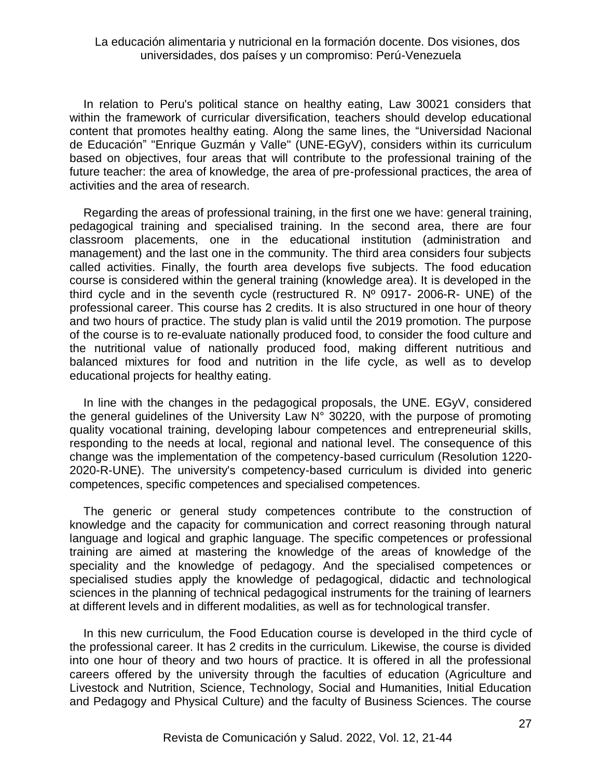In relation to Peru's political stance on healthy eating, Law 30021 considers that within the framework of curricular diversification, teachers should develop educational content that promotes healthy eating. Along the same lines, the "Universidad Nacional de Educación" "Enrique Guzmán y Valle" (UNE-EGyV), considers within its curriculum based on objectives, four areas that will contribute to the professional training of the future teacher: the area of knowledge, the area of pre-professional practices, the area of activities and the area of research.

Regarding the areas of professional training, in the first one we have: general training, pedagogical training and specialised training. In the second area, there are four classroom placements, one in the educational institution (administration and management) and the last one in the community. The third area considers four subjects called activities. Finally, the fourth area develops five subjects. The food education course is considered within the general training (knowledge area). It is developed in the third cycle and in the seventh cycle (restructured R. Nº 0917- 2006-R- UNE) of the professional career. This course has 2 credits. It is also structured in one hour of theory and two hours of practice. The study plan is valid until the 2019 promotion. The purpose of the course is to re-evaluate nationally produced food, to consider the food culture and the nutritional value of nationally produced food, making different nutritious and balanced mixtures for food and nutrition in the life cycle, as well as to develop educational projects for healthy eating.

In line with the changes in the pedagogical proposals, the UNE. EGyV, considered the general guidelines of the University Law N° 30220, with the purpose of promoting quality vocational training, developing labour competences and entrepreneurial skills, responding to the needs at local, regional and national level. The consequence of this change was the implementation of the competency-based curriculum (Resolution 1220- 2020-R-UNE). The university's competency-based curriculum is divided into generic competences, specific competences and specialised competences.

The generic or general study competences contribute to the construction of knowledge and the capacity for communication and correct reasoning through natural language and logical and graphic language. The specific competences or professional training are aimed at mastering the knowledge of the areas of knowledge of the speciality and the knowledge of pedagogy. And the specialised competences or specialised studies apply the knowledge of pedagogical, didactic and technological sciences in the planning of technical pedagogical instruments for the training of learners at different levels and in different modalities, as well as for technological transfer.

In this new curriculum, the Food Education course is developed in the third cycle of the professional career. It has 2 credits in the curriculum. Likewise, the course is divided into one hour of theory and two hours of practice. It is offered in all the professional careers offered by the university through the faculties of education (Agriculture and Livestock and Nutrition, Science, Technology, Social and Humanities, Initial Education and Pedagogy and Physical Culture) and the faculty of Business Sciences. The course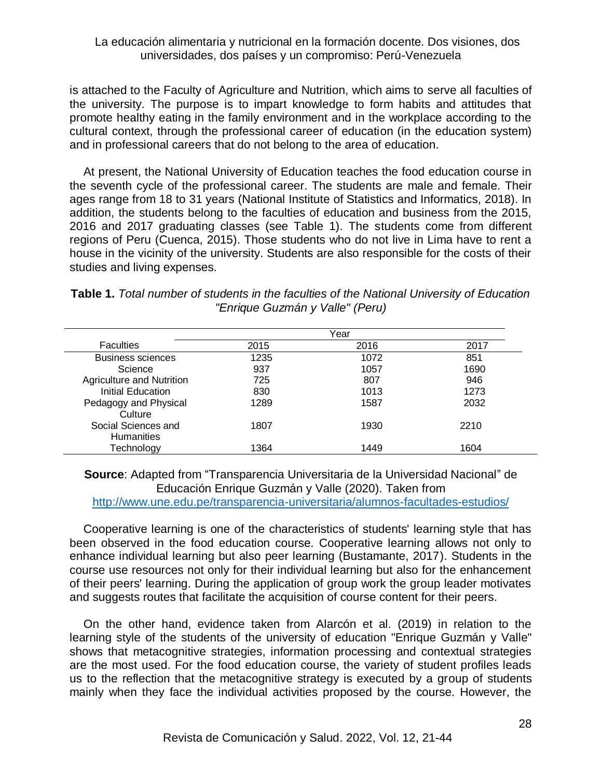is attached to the Faculty of Agriculture and Nutrition, which aims to serve all faculties of the university. The purpose is to impart knowledge to form habits and attitudes that promote healthy eating in the family environment and in the workplace according to the cultural context, through the professional career of education (in the education system) and in professional careers that do not belong to the area of education.

At present, the National University of Education teaches the food education course in the seventh cycle of the professional career. The students are male and female. Their ages range from 18 to 31 years (National Institute of Statistics and Informatics, 2018). In addition, the students belong to the faculties of education and business from the 2015, 2016 and 2017 graduating classes (see Table 1). The students come from different regions of Peru (Cuenca, 2015). Those students who do not live in Lima have to rent a house in the vicinity of the university. Students are also responsible for the costs of their studies and living expenses.

**Table 1.** *Total number of students in the faculties of the National University of Education "Enrique Guzmán y Valle" (Peru)*

| <b>Faculties</b>                         | Year |      |      |  |
|------------------------------------------|------|------|------|--|
|                                          | 2015 | 2016 | 2017 |  |
| <b>Business sciences</b>                 | 1235 | 1072 | 851  |  |
| Science                                  | 937  | 1057 | 1690 |  |
| Agriculture and Nutrition                | 725  | 807  | 946  |  |
| Initial Education                        | 830  | 1013 | 1273 |  |
| Pedagogy and Physical<br>Culture         | 1289 | 1587 | 2032 |  |
| Social Sciences and<br><b>Humanities</b> | 1807 | 1930 | 2210 |  |
| Technology                               | 1364 | 1449 | 1604 |  |

**Source**: Adapted from "Transparencia Universitaria de la Universidad Nacional" de Educación Enrique Guzmán y Valle (2020). Taken from <http://www.une.edu.pe/transparencia-universitaria/alumnos-facultades-estudios/>

Cooperative learning is one of the characteristics of students' learning style that has been observed in the food education course. Cooperative learning allows not only to enhance individual learning but also peer learning (Bustamante, 2017). Students in the course use resources not only for their individual learning but also for the enhancement of their peers' learning. During the application of group work the group leader motivates and suggests routes that facilitate the acquisition of course content for their peers.

On the other hand, evidence taken from Alarcón et al. (2019) in relation to the learning style of the students of the university of education "Enrique Guzmán y Valle" shows that metacognitive strategies, information processing and contextual strategies are the most used. For the food education course, the variety of student profiles leads us to the reflection that the metacognitive strategy is executed by a group of students mainly when they face the individual activities proposed by the course. However, the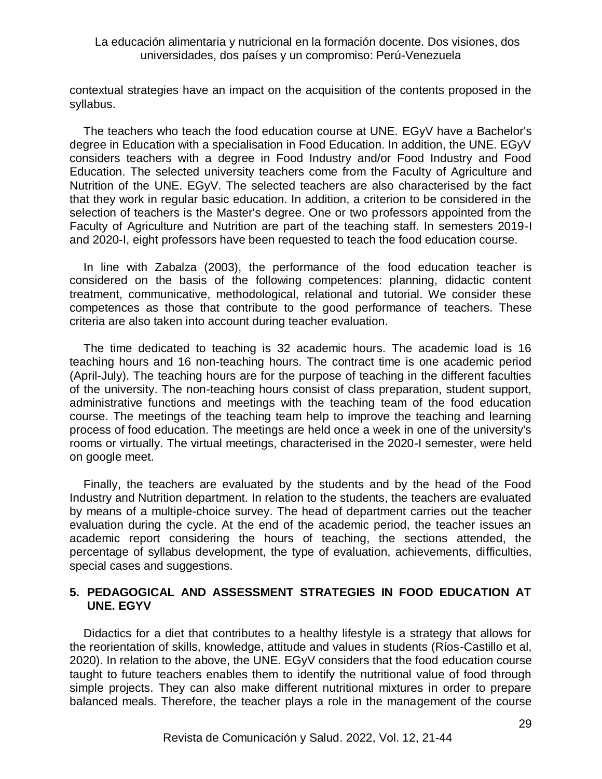contextual strategies have an impact on the acquisition of the contents proposed in the syllabus.

The teachers who teach the food education course at UNE. EGyV have a Bachelor's degree in Education with a specialisation in Food Education. In addition, the UNE. EGyV considers teachers with a degree in Food Industry and/or Food Industry and Food Education. The selected university teachers come from the Faculty of Agriculture and Nutrition of the UNE. EGyV. The selected teachers are also characterised by the fact that they work in regular basic education. In addition, a criterion to be considered in the selection of teachers is the Master's degree. One or two professors appointed from the Faculty of Agriculture and Nutrition are part of the teaching staff. In semesters 2019-I and 2020-I, eight professors have been requested to teach the food education course.

In line with Zabalza (2003), the performance of the food education teacher is considered on the basis of the following competences: planning, didactic content treatment, communicative, methodological, relational and tutorial. We consider these competences as those that contribute to the good performance of teachers. These criteria are also taken into account during teacher evaluation.

The time dedicated to teaching is 32 academic hours. The academic load is 16 teaching hours and 16 non-teaching hours. The contract time is one academic period (April-July). The teaching hours are for the purpose of teaching in the different faculties of the university. The non-teaching hours consist of class preparation, student support, administrative functions and meetings with the teaching team of the food education course. The meetings of the teaching team help to improve the teaching and learning process of food education. The meetings are held once a week in one of the university's rooms or virtually. The virtual meetings, characterised in the 2020-I semester, were held on google meet.

Finally, the teachers are evaluated by the students and by the head of the Food Industry and Nutrition department. In relation to the students, the teachers are evaluated by means of a multiple-choice survey. The head of department carries out the teacher evaluation during the cycle. At the end of the academic period, the teacher issues an academic report considering the hours of teaching, the sections attended, the percentage of syllabus development, the type of evaluation, achievements, difficulties, special cases and suggestions.

## **5. PEDAGOGICAL AND ASSESSMENT STRATEGIES IN FOOD EDUCATION AT UNE. EGYV**

Didactics for a diet that contributes to a healthy lifestyle is a strategy that allows for the reorientation of skills, knowledge, attitude and values in students (Ríos-Castillo et al, 2020). In relation to the above, the UNE. EGyV considers that the food education course taught to future teachers enables them to identify the nutritional value of food through simple projects. They can also make different nutritional mixtures in order to prepare balanced meals. Therefore, the teacher plays a role in the management of the course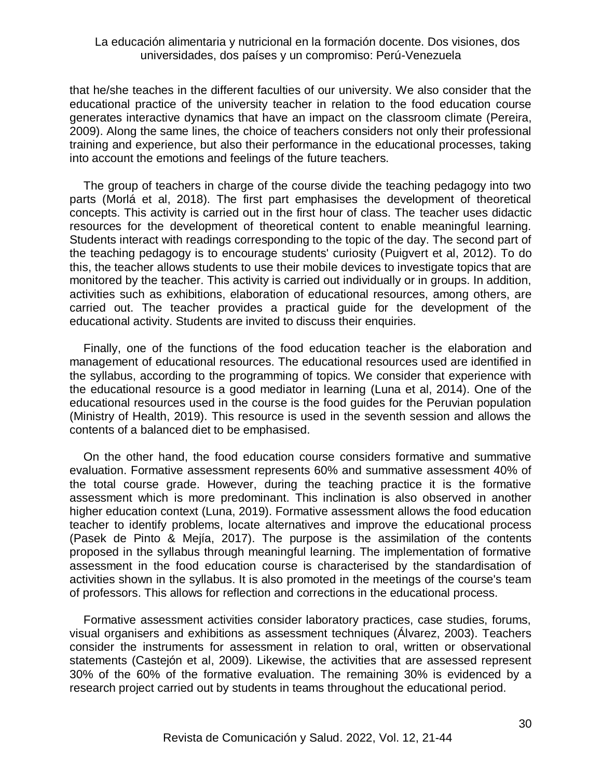that he/she teaches in the different faculties of our university. We also consider that the educational practice of the university teacher in relation to the food education course generates interactive dynamics that have an impact on the classroom climate (Pereira, 2009). Along the same lines, the choice of teachers considers not only their professional training and experience, but also their performance in the educational processes, taking into account the emotions and feelings of the future teachers.

The group of teachers in charge of the course divide the teaching pedagogy into two parts (Morlá et al, 2018). The first part emphasises the development of theoretical concepts. This activity is carried out in the first hour of class. The teacher uses didactic resources for the development of theoretical content to enable meaningful learning. Students interact with readings corresponding to the topic of the day. The second part of the teaching pedagogy is to encourage students' curiosity (Puigvert et al, 2012). To do this, the teacher allows students to use their mobile devices to investigate topics that are monitored by the teacher. This activity is carried out individually or in groups. In addition, activities such as exhibitions, elaboration of educational resources, among others, are carried out. The teacher provides a practical guide for the development of the educational activity. Students are invited to discuss their enquiries.

Finally, one of the functions of the food education teacher is the elaboration and management of educational resources. The educational resources used are identified in the syllabus, according to the programming of topics. We consider that experience with the educational resource is a good mediator in learning (Luna et al, 2014). One of the educational resources used in the course is the food guides for the Peruvian population (Ministry of Health, 2019). This resource is used in the seventh session and allows the contents of a balanced diet to be emphasised.

On the other hand, the food education course considers formative and summative evaluation. Formative assessment represents 60% and summative assessment 40% of the total course grade. However, during the teaching practice it is the formative assessment which is more predominant. This inclination is also observed in another higher education context (Luna, 2019). Formative assessment allows the food education teacher to identify problems, locate alternatives and improve the educational process (Pasek de Pinto & Mejía, 2017). The purpose is the assimilation of the contents proposed in the syllabus through meaningful learning. The implementation of formative assessment in the food education course is characterised by the standardisation of activities shown in the syllabus. It is also promoted in the meetings of the course's team of professors. This allows for reflection and corrections in the educational process.

Formative assessment activities consider laboratory practices, case studies, forums, visual organisers and exhibitions as assessment techniques (Álvarez, 2003). Teachers consider the instruments for assessment in relation to oral, written or observational statements (Castejón et al, 2009). Likewise, the activities that are assessed represent 30% of the 60% of the formative evaluation. The remaining 30% is evidenced by a research project carried out by students in teams throughout the educational period.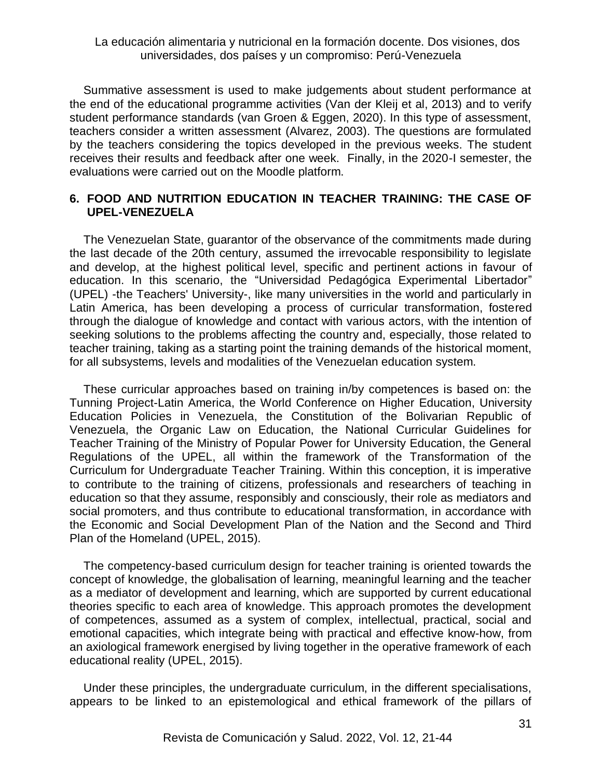Summative assessment is used to make judgements about student performance at the end of the educational programme activities (Van der Kleij et al, 2013) and to verify student performance standards (van Groen & Eggen, 2020). In this type of assessment, teachers consider a written assessment (Alvarez, 2003). The questions are formulated by the teachers considering the topics developed in the previous weeks. The student receives their results and feedback after one week. Finally, in the 2020-I semester, the evaluations were carried out on the Moodle platform.

## **6. FOOD AND NUTRITION EDUCATION IN TEACHER TRAINING: THE CASE OF UPEL-VENEZUELA**

The Venezuelan State, guarantor of the observance of the commitments made during the last decade of the 20th century, assumed the irrevocable responsibility to legislate and develop, at the highest political level, specific and pertinent actions in favour of education. In this scenario, the "Universidad Pedagógica Experimental Libertador" (UPEL) -the Teachers' University-, like many universities in the world and particularly in Latin America, has been developing a process of curricular transformation, fostered through the dialogue of knowledge and contact with various actors, with the intention of seeking solutions to the problems affecting the country and, especially, those related to teacher training, taking as a starting point the training demands of the historical moment, for all subsystems, levels and modalities of the Venezuelan education system.

These curricular approaches based on training in/by competences is based on: the Tunning Project-Latin America, the World Conference on Higher Education, University Education Policies in Venezuela, the Constitution of the Bolivarian Republic of Venezuela, the Organic Law on Education, the National Curricular Guidelines for Teacher Training of the Ministry of Popular Power for University Education, the General Regulations of the UPEL, all within the framework of the Transformation of the Curriculum for Undergraduate Teacher Training. Within this conception, it is imperative to contribute to the training of citizens, professionals and researchers of teaching in education so that they assume, responsibly and consciously, their role as mediators and social promoters, and thus contribute to educational transformation, in accordance with the Economic and Social Development Plan of the Nation and the Second and Third Plan of the Homeland (UPEL, 2015).

The competency-based curriculum design for teacher training is oriented towards the concept of knowledge, the globalisation of learning, meaningful learning and the teacher as a mediator of development and learning, which are supported by current educational theories specific to each area of knowledge. This approach promotes the development of competences, assumed as a system of complex, intellectual, practical, social and emotional capacities, which integrate being with practical and effective know-how, from an axiological framework energised by living together in the operative framework of each educational reality (UPEL, 2015).

Under these principles, the undergraduate curriculum, in the different specialisations, appears to be linked to an epistemological and ethical framework of the pillars of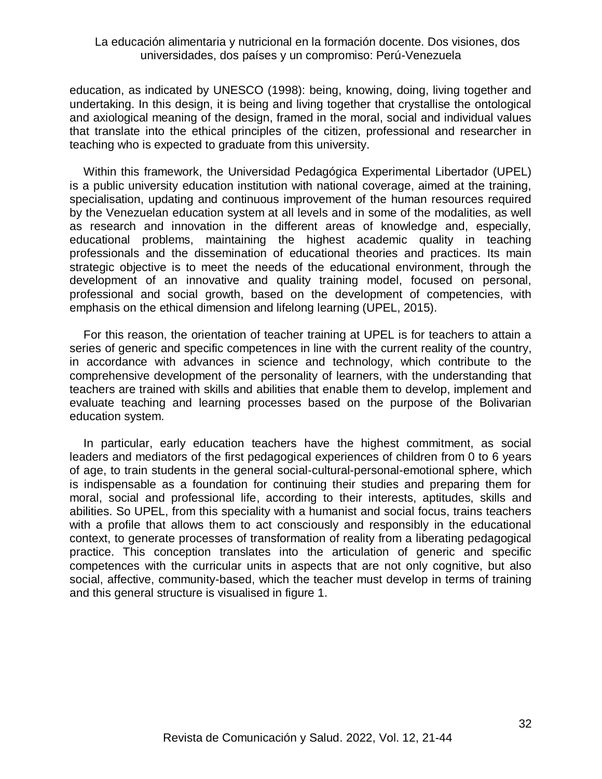education, as indicated by UNESCO (1998): being, knowing, doing, living together and undertaking. In this design, it is being and living together that crystallise the ontological and axiological meaning of the design, framed in the moral, social and individual values that translate into the ethical principles of the citizen, professional and researcher in teaching who is expected to graduate from this university.

Within this framework, the Universidad Pedagógica Experimental Libertador (UPEL) is a public university education institution with national coverage, aimed at the training, specialisation, updating and continuous improvement of the human resources required by the Venezuelan education system at all levels and in some of the modalities, as well as research and innovation in the different areas of knowledge and, especially, educational problems, maintaining the highest academic quality in teaching professionals and the dissemination of educational theories and practices. Its main strategic objective is to meet the needs of the educational environment, through the development of an innovative and quality training model, focused on personal, professional and social growth, based on the development of competencies, with emphasis on the ethical dimension and lifelong learning (UPEL, 2015).

For this reason, the orientation of teacher training at UPEL is for teachers to attain a series of generic and specific competences in line with the current reality of the country, in accordance with advances in science and technology, which contribute to the comprehensive development of the personality of learners, with the understanding that teachers are trained with skills and abilities that enable them to develop, implement and evaluate teaching and learning processes based on the purpose of the Bolivarian education system.

In particular, early education teachers have the highest commitment, as social leaders and mediators of the first pedagogical experiences of children from 0 to 6 years of age, to train students in the general social-cultural-personal-emotional sphere, which is indispensable as a foundation for continuing their studies and preparing them for moral, social and professional life, according to their interests, aptitudes, skills and abilities. So UPEL, from this speciality with a humanist and social focus, trains teachers with a profile that allows them to act consciously and responsibly in the educational context, to generate processes of transformation of reality from a liberating pedagogical practice. This conception translates into the articulation of generic and specific competences with the curricular units in aspects that are not only cognitive, but also social, affective, community-based, which the teacher must develop in terms of training and this general structure is visualised in figure 1.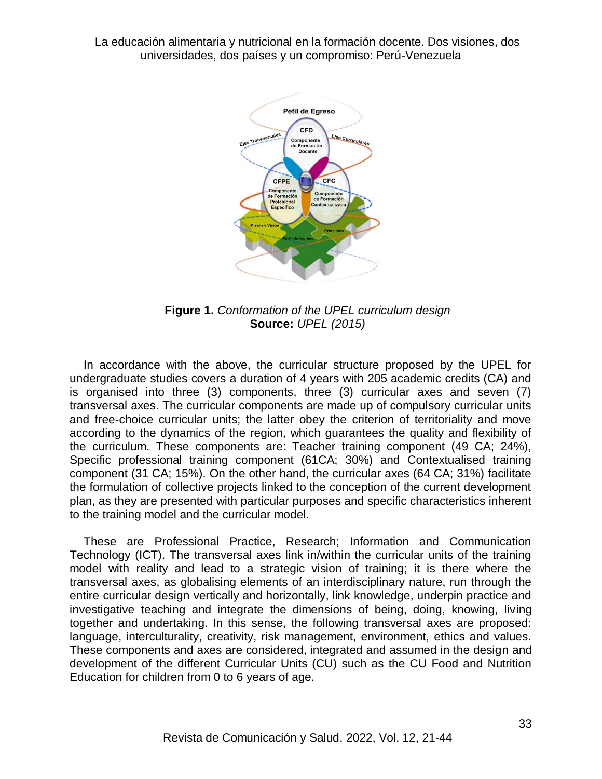

**Figure 1.** *Conformation of the UPEL curriculum design* **Source:** *UPEL (2015)*

In accordance with the above, the curricular structure proposed by the UPEL for undergraduate studies covers a duration of 4 years with 205 academic credits (CA) and is organised into three (3) components, three (3) curricular axes and seven (7) transversal axes. The curricular components are made up of compulsory curricular units and free-choice curricular units; the latter obey the criterion of territoriality and move according to the dynamics of the region, which guarantees the quality and flexibility of the curriculum. These components are: Teacher training component (49 CA; 24%), Specific professional training component (61CA; 30%) and Contextualised training component (31 CA; 15%). On the other hand, the curricular axes (64 CA; 31%) facilitate the formulation of collective projects linked to the conception of the current development plan, as they are presented with particular purposes and specific characteristics inherent to the training model and the curricular model.

These are Professional Practice, Research; Information and Communication Technology (ICT). The transversal axes link in/within the curricular units of the training model with reality and lead to a strategic vision of training; it is there where the transversal axes, as globalising elements of an interdisciplinary nature, run through the entire curricular design vertically and horizontally, link knowledge, underpin practice and investigative teaching and integrate the dimensions of being, doing, knowing, living together and undertaking. In this sense, the following transversal axes are proposed: language, interculturality, creativity, risk management, environment, ethics and values. These components and axes are considered, integrated and assumed in the design and development of the different Curricular Units (CU) such as the CU Food and Nutrition Education for children from 0 to 6 years of age.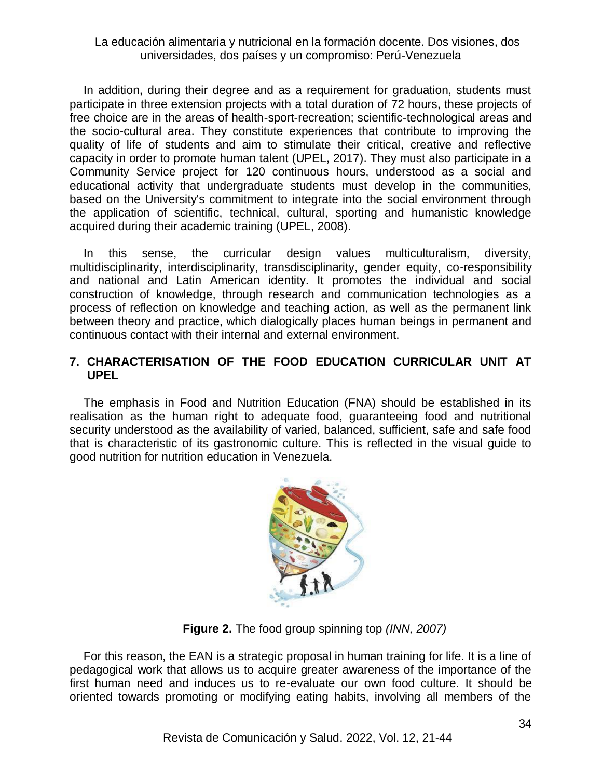In addition, during their degree and as a requirement for graduation, students must participate in three extension projects with a total duration of 72 hours, these projects of free choice are in the areas of health-sport-recreation; scientific-technological areas and the socio-cultural area. They constitute experiences that contribute to improving the quality of life of students and aim to stimulate their critical, creative and reflective capacity in order to promote human talent (UPEL, 2017). They must also participate in a Community Service project for 120 continuous hours, understood as a social and educational activity that undergraduate students must develop in the communities, based on the University's commitment to integrate into the social environment through the application of scientific, technical, cultural, sporting and humanistic knowledge acquired during their academic training (UPEL, 2008).

In this sense, the curricular design values multiculturalism, diversity, multidisciplinarity, interdisciplinarity, transdisciplinarity, gender equity, co-responsibility and national and Latin American identity. It promotes the individual and social construction of knowledge, through research and communication technologies as a process of reflection on knowledge and teaching action, as well as the permanent link between theory and practice, which dialogically places human beings in permanent and continuous contact with their internal and external environment.

## **7. CHARACTERISATION OF THE FOOD EDUCATION CURRICULAR UNIT AT UPEL**

The emphasis in Food and Nutrition Education (FNA) should be established in its realisation as the human right to adequate food, guaranteeing food and nutritional security understood as the availability of varied, balanced, sufficient, safe and safe food that is characteristic of its gastronomic culture. This is reflected in the visual guide to good nutrition for nutrition education in Venezuela.



**Figure 2.** The food group spinning top *(INN, 2007)*

For this reason, the EAN is a strategic proposal in human training for life. It is a line of pedagogical work that allows us to acquire greater awareness of the importance of the first human need and induces us to re-evaluate our own food culture. It should be oriented towards promoting or modifying eating habits, involving all members of the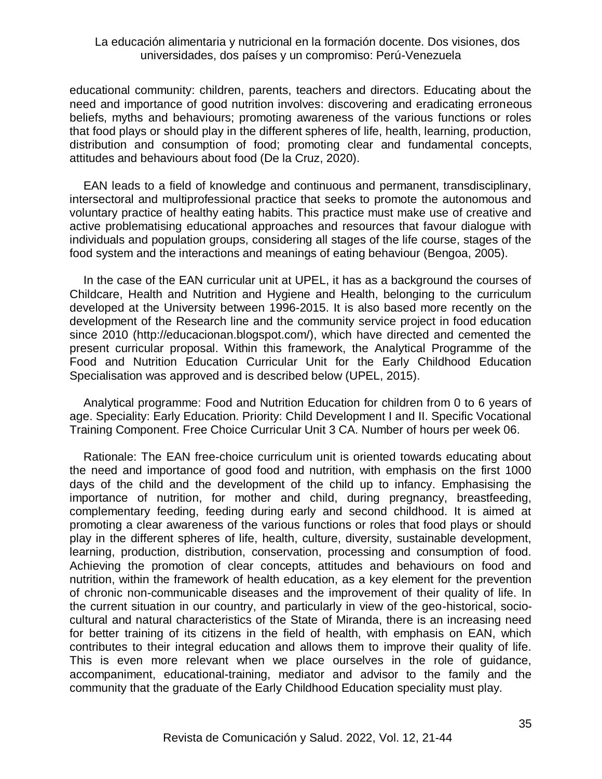educational community: children, parents, teachers and directors. Educating about the need and importance of good nutrition involves: discovering and eradicating erroneous beliefs, myths and behaviours; promoting awareness of the various functions or roles that food plays or should play in the different spheres of life, health, learning, production, distribution and consumption of food; promoting clear and fundamental concepts, attitudes and behaviours about food (De la Cruz, 2020).

EAN leads to a field of knowledge and continuous and permanent, transdisciplinary, intersectoral and multiprofessional practice that seeks to promote the autonomous and voluntary practice of healthy eating habits. This practice must make use of creative and active problematising educational approaches and resources that favour dialogue with individuals and population groups, considering all stages of the life course, stages of the food system and the interactions and meanings of eating behaviour (Bengoa, 2005).

In the case of the EAN curricular unit at UPEL, it has as a background the courses of Childcare, Health and Nutrition and Hygiene and Health, belonging to the curriculum developed at the University between 1996-2015. It is also based more recently on the development of the Research line and the community service project in food education since 2010 (http://educacionan.blogspot.com/), which have directed and cemented the present curricular proposal. Within this framework, the Analytical Programme of the Food and Nutrition Education Curricular Unit for the Early Childhood Education Specialisation was approved and is described below (UPEL, 2015).

Analytical programme: Food and Nutrition Education for children from 0 to 6 years of age. Speciality: Early Education. Priority: Child Development I and II. Specific Vocational Training Component. Free Choice Curricular Unit 3 CA. Number of hours per week 06.

Rationale: The EAN free-choice curriculum unit is oriented towards educating about the need and importance of good food and nutrition, with emphasis on the first 1000 days of the child and the development of the child up to infancy. Emphasising the importance of nutrition, for mother and child, during pregnancy, breastfeeding, complementary feeding, feeding during early and second childhood. It is aimed at promoting a clear awareness of the various functions or roles that food plays or should play in the different spheres of life, health, culture, diversity, sustainable development, learning, production, distribution, conservation, processing and consumption of food. Achieving the promotion of clear concepts, attitudes and behaviours on food and nutrition, within the framework of health education, as a key element for the prevention of chronic non-communicable diseases and the improvement of their quality of life. In the current situation in our country, and particularly in view of the geo-historical, sociocultural and natural characteristics of the State of Miranda, there is an increasing need for better training of its citizens in the field of health, with emphasis on EAN, which contributes to their integral education and allows them to improve their quality of life. This is even more relevant when we place ourselves in the role of guidance, accompaniment, educational-training, mediator and advisor to the family and the community that the graduate of the Early Childhood Education speciality must play.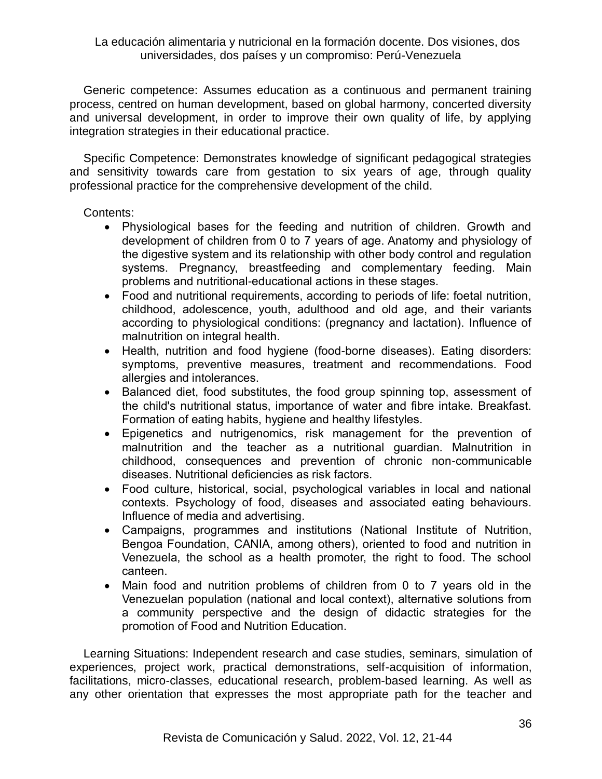Generic competence: Assumes education as a continuous and permanent training process, centred on human development, based on global harmony, concerted diversity and universal development, in order to improve their own quality of life, by applying integration strategies in their educational practice.

Specific Competence: Demonstrates knowledge of significant pedagogical strategies and sensitivity towards care from gestation to six years of age, through quality professional practice for the comprehensive development of the child.

## Contents:

- Physiological bases for the feeding and nutrition of children. Growth and development of children from 0 to 7 years of age. Anatomy and physiology of the digestive system and its relationship with other body control and regulation systems. Pregnancy, breastfeeding and complementary feeding. Main problems and nutritional-educational actions in these stages.
- Food and nutritional requirements, according to periods of life: foetal nutrition, childhood, adolescence, youth, adulthood and old age, and their variants according to physiological conditions: (pregnancy and lactation). Influence of malnutrition on integral health.
- Health, nutrition and food hygiene (food-borne diseases). Eating disorders: symptoms, preventive measures, treatment and recommendations. Food allergies and intolerances.
- Balanced diet, food substitutes, the food group spinning top, assessment of the child's nutritional status, importance of water and fibre intake. Breakfast. Formation of eating habits, hygiene and healthy lifestyles.
- Epigenetics and nutrigenomics, risk management for the prevention of malnutrition and the teacher as a nutritional guardian. Malnutrition in childhood, consequences and prevention of chronic non-communicable diseases. Nutritional deficiencies as risk factors.
- Food culture, historical, social, psychological variables in local and national contexts. Psychology of food, diseases and associated eating behaviours. Influence of media and advertising.
- Campaigns, programmes and institutions (National Institute of Nutrition, Bengoa Foundation, CANIA, among others), oriented to food and nutrition in Venezuela, the school as a health promoter, the right to food. The school canteen.
- Main food and nutrition problems of children from 0 to 7 years old in the Venezuelan population (national and local context), alternative solutions from a community perspective and the design of didactic strategies for the promotion of Food and Nutrition Education.

Learning Situations: Independent research and case studies, seminars, simulation of experiences, project work, practical demonstrations, self-acquisition of information, facilitations, micro-classes, educational research, problem-based learning. As well as any other orientation that expresses the most appropriate path for the teacher and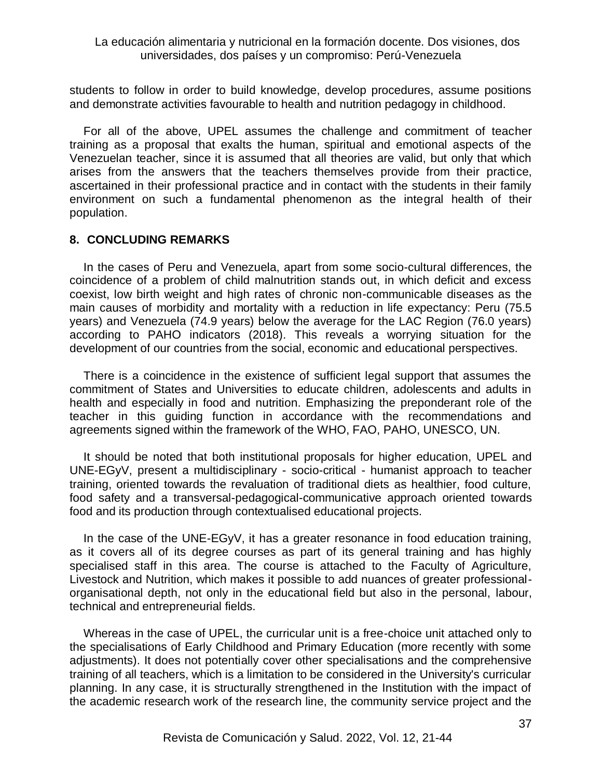students to follow in order to build knowledge, develop procedures, assume positions and demonstrate activities favourable to health and nutrition pedagogy in childhood.

For all of the above, UPEL assumes the challenge and commitment of teacher training as a proposal that exalts the human, spiritual and emotional aspects of the Venezuelan teacher, since it is assumed that all theories are valid, but only that which arises from the answers that the teachers themselves provide from their practice, ascertained in their professional practice and in contact with the students in their family environment on such a fundamental phenomenon as the integral health of their population.

### **8. CONCLUDING REMARKS**

In the cases of Peru and Venezuela, apart from some socio-cultural differences, the coincidence of a problem of child malnutrition stands out, in which deficit and excess coexist, low birth weight and high rates of chronic non-communicable diseases as the main causes of morbidity and mortality with a reduction in life expectancy: Peru (75.5 years) and Venezuela (74.9 years) below the average for the LAC Region (76.0 years) according to PAHO indicators (2018). This reveals a worrying situation for the development of our countries from the social, economic and educational perspectives.

There is a coincidence in the existence of sufficient legal support that assumes the commitment of States and Universities to educate children, adolescents and adults in health and especially in food and nutrition. Emphasizing the preponderant role of the teacher in this guiding function in accordance with the recommendations and agreements signed within the framework of the WHO, FAO, PAHO, UNESCO, UN.

It should be noted that both institutional proposals for higher education, UPEL and UNE-EGyV, present a multidisciplinary - socio-critical - humanist approach to teacher training, oriented towards the revaluation of traditional diets as healthier, food culture, food safety and a transversal-pedagogical-communicative approach oriented towards food and its production through contextualised educational projects.

In the case of the UNE-EGyV, it has a greater resonance in food education training, as it covers all of its degree courses as part of its general training and has highly specialised staff in this area. The course is attached to the Faculty of Agriculture, Livestock and Nutrition, which makes it possible to add nuances of greater professionalorganisational depth, not only in the educational field but also in the personal, labour, technical and entrepreneurial fields.

Whereas in the case of UPEL, the curricular unit is a free-choice unit attached only to the specialisations of Early Childhood and Primary Education (more recently with some adjustments). It does not potentially cover other specialisations and the comprehensive training of all teachers, which is a limitation to be considered in the University's curricular planning. In any case, it is structurally strengthened in the Institution with the impact of the academic research work of the research line, the community service project and the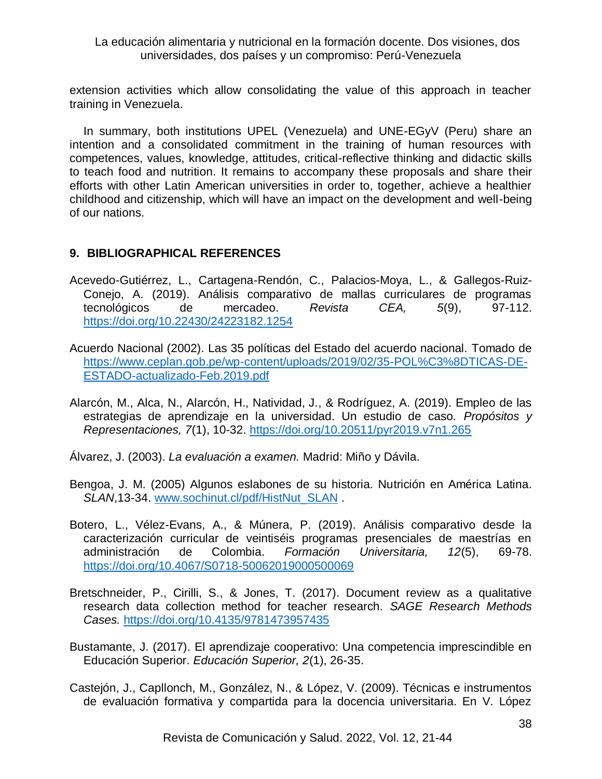extension activities which allow consolidating the value of this approach in teacher training in Venezuela.

In summary, both institutions UPEL (Venezuela) and UNE-EGyV (Peru) share an intention and a consolidated commitment in the training of human resources with competences, values, knowledge, attitudes, critical-reflective thinking and didactic skills to teach food and nutrition. It remains to accompany these proposals and share their efforts with other Latin American universities in order to, together, achieve a healthier childhood and citizenship, which will have an impact on the development and well-being of our nations.

# **9. BIBLIOGRAPHICAL REFERENCES**

- Acevedo-Gutiérrez, L., Cartagena-Rendón, C., Palacios-Moya, L., & Gallegos-Ruiz-Conejo, A. (2019). Análisis comparativo de mallas curriculares de programas tecnológicos de mercadeo. *Revista CEA, 5*(9), 97-112. <https://doi.org/10.22430/24223182.1254>
- Acuerdo Nacional (2002). Las 35 políticas del Estado del acuerdo nacional. Tomado de [https://www.ceplan.gob.pe/wp-content/uploads/2019/02/35-POL%C3%8DTICAS-DE-](https://www.ceplan.gob.pe/wp-content/uploads/2019/02/35-POL%C3%8DTICAS-DE-ESTADO-actualizado-Feb.2019.pdf)[ESTADO-actualizado-Feb.2019.pdf](https://www.ceplan.gob.pe/wp-content/uploads/2019/02/35-POL%C3%8DTICAS-DE-ESTADO-actualizado-Feb.2019.pdf)
- Alarcón, M., Alca, N., Alarcón, H., Natividad, J., & Rodríguez, A. (2019). Empleo de las estrategias de aprendizaje en la universidad. Un estudio de caso. *Propósitos y Representaciones, 7*(1), 10-32.<https://doi.org/10.20511/pyr2019.v7n1.265>
- Álvarez, J. (2003). *La evaluación a examen.* Madrid: Miño y Dávila.
- Bengoa, J. M. (2005) Algunos eslabones de su historia. Nutrición en América Latina. SLAN,13-34. [www.sochinut.cl/pdf/HistNut\\_SLAN](http://www.sochinut.cl/pdf/HistNut_SLAN) .
- Botero, L., Vélez-Evans, A., & Múnera, P. (2019). Análisis comparativo desde la caracterización curricular de veintiséis programas presenciales de maestrías en administración de Colombia. *Formación Universitaria, 12*(5), 69-78. <https://doi.org/10.4067/S0718-50062019000500069>
- Bretschneider, P., Cirilli, S., & Jones, T. (2017). Document review as a qualitative research data collection method for teacher research. *SAGE Research Methods Cases.* <https://doi.org/10.4135/9781473957435>
- Bustamante, J. (2017). El aprendizaje cooperativo: Una competencia imprescindible en Educación Superior. *Educación Superior, 2*(1), 26-35.
- Castejón, J., Capllonch, M., González, N., & López, V. (2009). Técnicas e instrumentos de evaluación formativa y compartida para la docencia universitaria. En V. López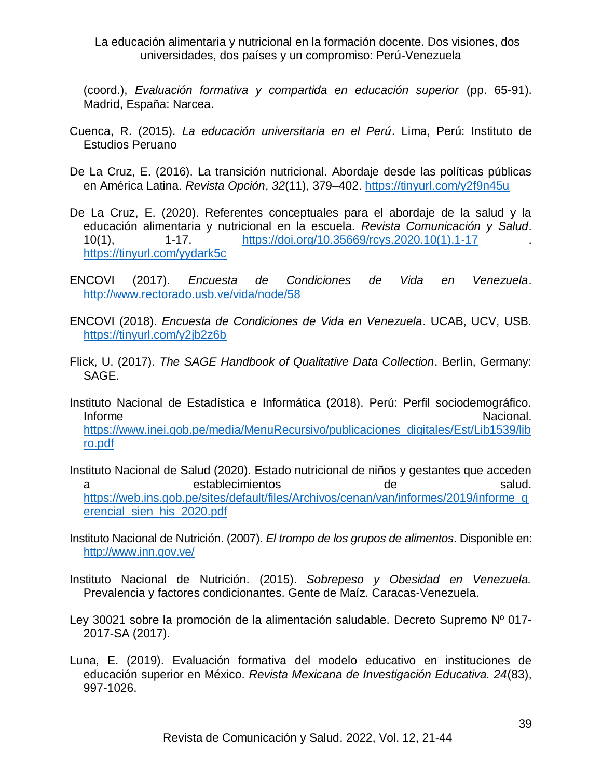(coord.), *Evaluación formativa y compartida en educación superior* (pp. 65-91). Madrid, España: Narcea.

- Cuenca, R. (2015). *La educación universitaria en el Perú*. Lima, Perú: Instituto de Estudios Peruano
- De La Cruz, E. (2016). La transición nutricional. Abordaje desde las políticas públicas en América Latina. *Revista Opción*, *32*(11), 379–402.<https://tinyurl.com/y2f9n45u>
- De La Cruz, E. (2020). Referentes conceptuales para el abordaje de la salud y la educación alimentaria y nutricional en la escuela. *Revista Comunicación y Salud*. 10(1), 1-17. [https://doi.org/10.35669/rcys.2020.10\(1\).1-17](https://doi.org/10.35669/rcys.2020.10(1).1-17) . <https://tinyurl.com/yydark5c>
- ENCOVI (2017). *Encuesta de Condiciones de Vida en Venezuela*. <http://www.rectorado.usb.ve/vida/node/58>
- ENCOVI (2018). *Encuesta de Condiciones de Vida en Venezuela*. UCAB, UCV, USB. <https://tinyurl.com/y2jb2z6b>
- Flick, U. (2017). *The SAGE Handbook of Qualitative Data Collection*. Berlin, Germany: SAGE.
- Instituto Nacional de Estadística e Informática (2018). Perú: Perfil sociodemográfico. Informe **Nacional.** [https://www.inei.gob.pe/media/MenuRecursivo/publicaciones\\_digitales/Est/Lib1539/lib](https://www.inei.gob.pe/media/MenuRecursivo/publicaciones_digitales/Est/Lib1539/libro.pdf) [ro.pdf](https://www.inei.gob.pe/media/MenuRecursivo/publicaciones_digitales/Est/Lib1539/libro.pdf)
- Instituto Nacional de Salud (2020). Estado nutricional de niños y gestantes que acceden a establecimientos de salud. [https://web.ins.gob.pe/sites/default/files/Archivos/cenan/van/informes/2019/informe\\_g](https://web.ins.gob.pe/sites/default/files/Archivos/cenan/van/informes/2019/informe_gerencial_sien_his_2020.pdf) [erencial\\_sien\\_his\\_2020.pdf](https://web.ins.gob.pe/sites/default/files/Archivos/cenan/van/informes/2019/informe_gerencial_sien_his_2020.pdf)
- Instituto Nacional de Nutrición. (2007). *El trompo de los grupos de alimentos*. Disponible en: <http://www.inn.gov.ve/>
- Instituto Nacional de Nutrición. (2015). *Sobrepeso y Obesidad en Venezuela.* Prevalencia y factores condicionantes. Gente de Maíz. Caracas-Venezuela.
- Ley 30021 sobre la promoción de la alimentación saludable. Decreto Supremo Nº 017- 2017-SA (2017).
- Luna, E. (2019). Evaluación formativa del modelo educativo en instituciones de educación superior en México. *Revista Mexicana de Investigación Educativa. 24*(83), 997-1026.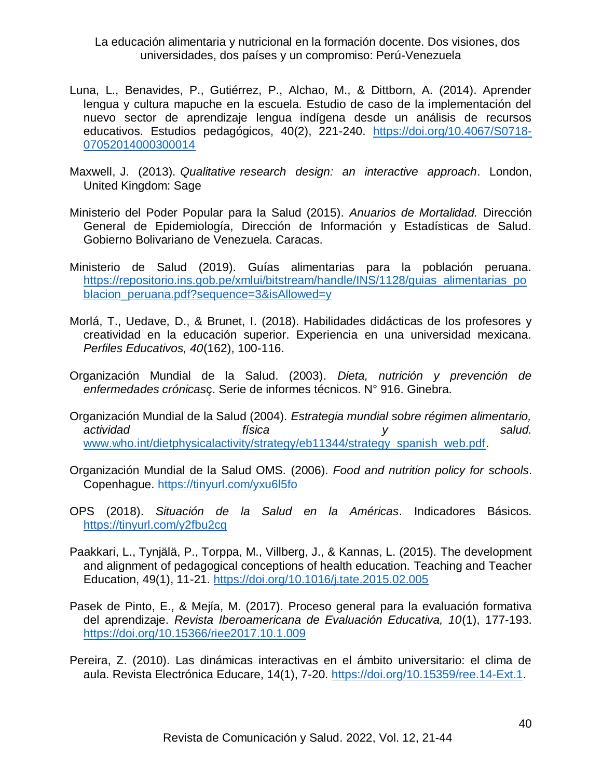- Luna, L., Benavides, P., Gutiérrez, P., Alchao, M., & Dittborn, A. (2014). Aprender lengua y cultura mapuche en la escuela. Estudio de caso de la implementación del nuevo sector de aprendizaje lengua indígena desde un análisis de recursos educativos. Estudios pedagógicos, 40(2), 221-240. [https://doi.org/10.4067/S0718-](https://doi.org/10.4067/S0718-07052014000300014) [07052014000300014](https://doi.org/10.4067/S0718-07052014000300014)
- Maxwell, J. (2013). *Qualitative research design: an interactive approach*. London, United Kingdom: Sage
- Ministerio del Poder Popular para la Salud (2015). *Anuarios de Mortalidad.* Dirección General de Epidemiología, Dirección de Información y Estadísticas de Salud. Gobierno Bolivariano de Venezuela. Caracas.
- Ministerio de Salud (2019). Guías alimentarias para la población peruana. [https://repositorio.ins.gob.pe/xmlui/bitstream/handle/INS/1128/guias\\_alimentarias\\_po](https://repositorio.ins.gob.pe/xmlui/bitstream/handle/INS/1128/guias_alimentarias_poblacion_peruana.pdf?sequence=3&isAllowed=y) blacion peruana.pdf?sequence=3&isAllowed=y
- Morlá, T., Uedave, D., & Brunet, I. (2018). Habilidades didácticas de los profesores y creatividad en la educación superior. Experiencia en una universidad mexicana. *Perfiles Educativos, 40*(162), 100-116.
- Organización Mundial de la Salud. (2003). *Dieta, nutrición y prevención de enfermedades crónicas*ç. Serie de informes técnicos. N° 916. Ginebra.
- Organización Mundial de la Salud (2004). *Estrategia mundial sobre régimen alimentario, actividad física y salud.* [www.who.int/dietphysicalactivity/strategy/eb11344/strategy\\_spanish\\_web.pdf.](http://www.who.int/dietphysicalactivity/strategy/eb11344/strategy_spanish_web.pdf)
- Organización Mundial de la Salud OMS. (2006). *Food and nutrition policy for schools*. Copenhague.<https://tinyurl.com/yxu6l5fo>
- OPS (2018). *Situación de la Salud en la Américas*. Indicadores Básicos. <https://tinyurl.com/y2fbu2cg>
- Paakkari, L., Tynjälä, P., Torppa, M., Villberg, J., & Kannas, L. (2015). The development and alignment of pedagogical conceptions of health education. Teaching and Teacher Education, 49(1), 11-21.<https://doi.org/10.1016/j.tate.2015.02.005>
- Pasek de Pinto, E., & Mejía, M. (2017). Proceso general para la evaluación formativa del aprendizaje. *Revista Iberoamericana de Evaluación Educativa, 10*(1), 177-193. <https://doi.org/10.15366/riee2017.10.1.009>
- Pereira, Z. (2010). Las dinámicas interactivas en el ámbito universitario: el clima de aula. Revista Electrónica Educare, 14(1), 7-20. [https://doi.org/10.15359/ree.14-Ext.1.](https://doi.org/10.15359/ree.14-Ext.1)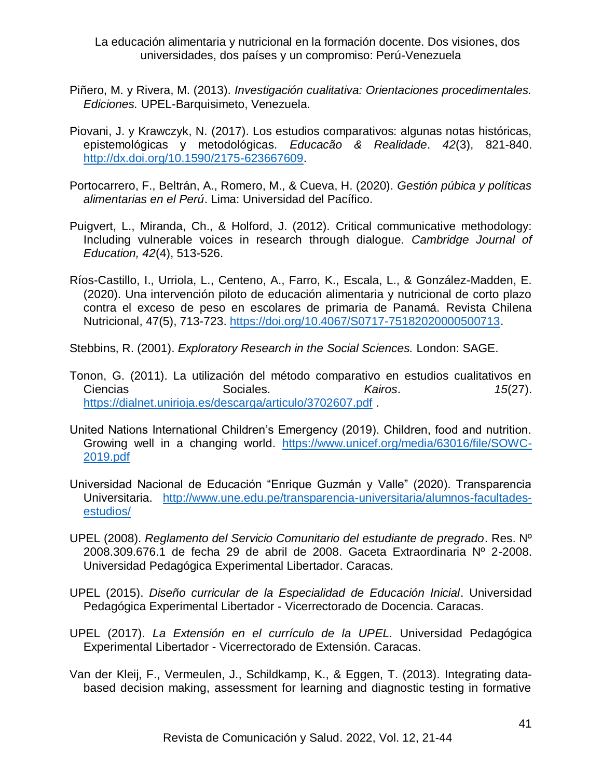- Piñero, M. y Rivera, M. (2013). *Investigación cualitativa: Orientaciones procedimentales. Ediciones.* UPEL-Barquisimeto, Venezuela.
- Piovani, J. y Krawczyk, N. (2017). Los estudios comparativos: algunas notas históricas, epistemológicas y metodológicas. *Educacão & Realidade*. *42*(3), 821-840. [http://dx.doi.org/10.1590/2175-623667609.](http://dx.doi.org/10.1590/2175-623667609)
- Portocarrero, F., Beltrán, A., Romero, M., & Cueva, H. (2020). *Gestión púbica y políticas alimentarias en el Perú*. Lima: Universidad del Pacífico.
- Puigvert, L., Miranda, Ch., & Holford, J. (2012). Critical communicative methodology: Including vulnerable voices in research through dialogue. *Cambridge Journal of Education, 42*(4), 513-526.
- Ríos-Castillo, I., Urriola, L., Centeno, A., Farro, K., Escala, L., & González-Madden, E. (2020). Una intervención piloto de educación alimentaria y nutricional de corto plazo contra el exceso de peso en escolares de primaria de Panamá. Revista Chilena Nutricional, 47(5), 713-723. [https://doi.org/10.4067/S0717-75182020000500713.](https://doi.org/10.4067/S0717-75182020000500713)
- Stebbins, R. (2001). *Exploratory Research in the Social Sciences.* London: SAGE.
- Tonon, G. (2011). La utilización del método comparativo en estudios cualitativos en Ciencias Sociales. *Kairos*. *15*(27). <https://dialnet.unirioja.es/descarga/articulo/3702607.pdf> .
- United Nations International Children's Emergency (2019). Children, food and nutrition. Growing well in a changing world. [https://www.unicef.org/media/63016/file/SOWC-](https://www.unicef.org/media/63016/file/SOWC-2019.pdf)[2019.pdf](https://www.unicef.org/media/63016/file/SOWC-2019.pdf)
- Universidad Nacional de Educación "Enrique Guzmán y Valle" (2020). Transparencia Universitaria. [http://www.une.edu.pe/transparencia-universitaria/alumnos-facultades](http://www.une.edu.pe/transparencia-universitaria/alumnos-facultades-estudios/)[estudios/](http://www.une.edu.pe/transparencia-universitaria/alumnos-facultades-estudios/)
- UPEL (2008). *Reglamento del Servicio Comunitario del estudiante de pregrado*. Res. Nº 2008.309.676.1 de fecha 29 de abril de 2008. Gaceta Extraordinaria Nº 2-2008. Universidad Pedagógica Experimental Libertador. Caracas.
- UPEL (2015). *Diseño curricular de la Especialidad de Educación Inicial*. Universidad Pedagógica Experimental Libertador - Vicerrectorado de Docencia. Caracas.
- UPEL (2017). *La Extensión en el currículo de la UPEL.* Universidad Pedagógica Experimental Libertador - Vicerrectorado de Extensión. Caracas.
- Van der Kleij, F., Vermeulen, J., Schildkamp, K., & Eggen, T. (2013). Integrating databased decision making, assessment for learning and diagnostic testing in formative